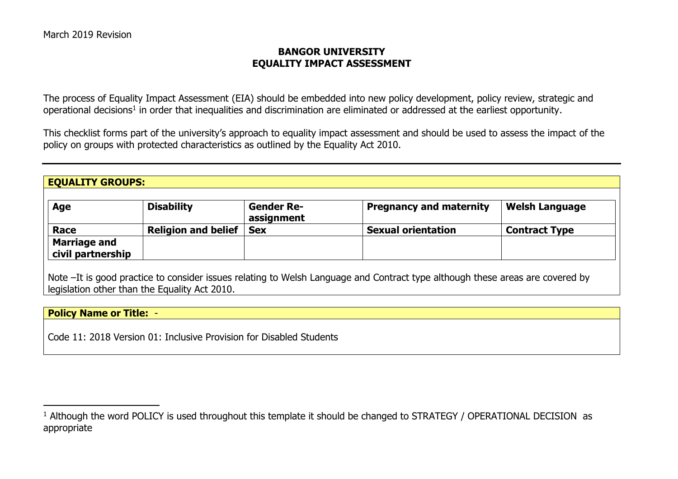### **BANGOR UNIVERSITY EQUALITY IMPACT ASSESSMENT**

The process of Equality Impact Assessment (EIA) should be embedded into new policy development, policy review, strategic and operational decisions<sup>1</sup> in order that inequalities and discrimination are eliminated or addressed at the earliest opportunity.

This checklist forms part of the university's approach to equality impact assessment and should be used to assess the impact of the policy on groups with protected characteristics as outlined by the Equality Act 2010.

#### **EQUALITY GROUPS:**

| Age                                      | <b>Disability</b>          | <b>Gender Re-</b><br>assignment | Pregnancy and maternity   | <b>Welsh Language</b> |
|------------------------------------------|----------------------------|---------------------------------|---------------------------|-----------------------|
| Race                                     | <b>Religion and belief</b> | <b>Sex</b>                      | <b>Sexual orientation</b> | Contract Type         |
| <b>Marriage and</b><br>civil partnership |                            |                                 |                           |                       |

Note –It is good practice to consider issues relating to Welsh Language and Contract type although these areas are covered by legislation other than the Equality Act 2010.

### **Policy Name or Title:** -

 $\overline{a}$ 

Code 11: 2018 Version 01: Inclusive Provision for Disabled Students

<sup>&</sup>lt;sup>1</sup> Although the word POLICY is used throughout this template it should be changed to STRATEGY / OPERATIONAL DECISION as appropriate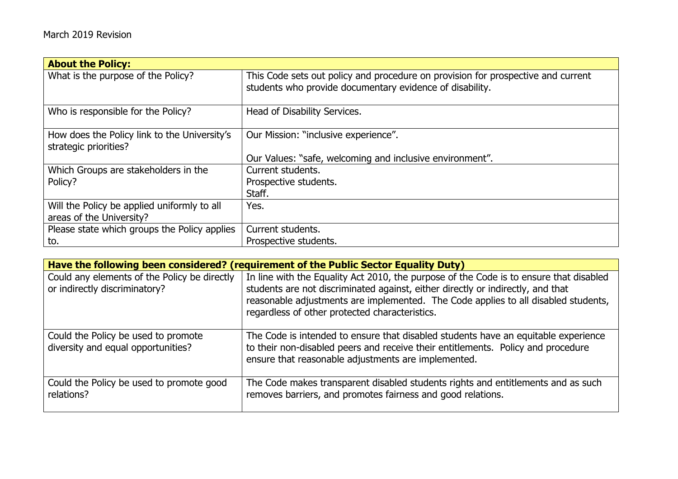| <b>About the Policy:</b>                                                |                                                                                                                                              |
|-------------------------------------------------------------------------|----------------------------------------------------------------------------------------------------------------------------------------------|
| What is the purpose of the Policy?                                      | This Code sets out policy and procedure on provision for prospective and current<br>students who provide documentary evidence of disability. |
| Who is responsible for the Policy?                                      | Head of Disability Services.                                                                                                                 |
| How does the Policy link to the University's<br>strategic priorities?   | Our Mission: "inclusive experience".                                                                                                         |
|                                                                         | Our Values: "safe, welcoming and inclusive environment".                                                                                     |
| Which Groups are stakeholders in the                                    | Current students.                                                                                                                            |
| Policy?                                                                 | Prospective students.                                                                                                                        |
|                                                                         | Staff.                                                                                                                                       |
| Will the Policy be applied uniformly to all<br>areas of the University? | Yes.                                                                                                                                         |
| Please state which groups the Policy applies                            | Current students.                                                                                                                            |
| to.                                                                     | Prospective students.                                                                                                                        |

|                                                                               | Have the following been considered? (requirement of the Public Sector Equality Duty)                                                                                                                                                                                                                              |  |  |
|-------------------------------------------------------------------------------|-------------------------------------------------------------------------------------------------------------------------------------------------------------------------------------------------------------------------------------------------------------------------------------------------------------------|--|--|
| Could any elements of the Policy be directly<br>or indirectly discriminatory? | In line with the Equality Act 2010, the purpose of the Code is to ensure that disabled<br>students are not discriminated against, either directly or indirectly, and that<br>reasonable adjustments are implemented. The Code applies to all disabled students,<br>regardless of other protected characteristics. |  |  |
| Could the Policy be used to promote<br>diversity and equal opportunities?     | The Code is intended to ensure that disabled students have an equitable experience<br>to their non-disabled peers and receive their entitlements. Policy and procedure<br>ensure that reasonable adjustments are implemented.                                                                                     |  |  |
| Could the Policy be used to promote good<br>relations?                        | The Code makes transparent disabled students rights and entitlements and as such<br>removes barriers, and promotes fairness and good relations.                                                                                                                                                                   |  |  |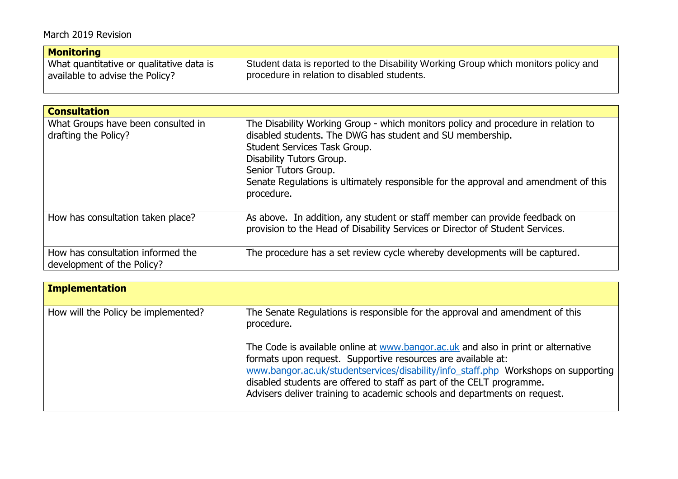| <b>Monitoring</b>                        |                                                                                    |  |
|------------------------------------------|------------------------------------------------------------------------------------|--|
| What quantitative or qualitative data is | Student data is reported to the Disability Working Group which monitors policy and |  |
| available to advise the Policy?          | procedure in relation to disabled students.                                        |  |

| <b>Consultation</b>                                             |                                                                                                                                                                                                                                                                                                                                         |
|-----------------------------------------------------------------|-----------------------------------------------------------------------------------------------------------------------------------------------------------------------------------------------------------------------------------------------------------------------------------------------------------------------------------------|
| What Groups have been consulted in<br>drafting the Policy?      | The Disability Working Group - which monitors policy and procedure in relation to<br>disabled students. The DWG has student and SU membership.<br>Student Services Task Group.<br>Disability Tutors Group.<br>Senior Tutors Group.<br>Senate Regulations is ultimately responsible for the approval and amendment of this<br>procedure. |
| How has consultation taken place?                               | As above. In addition, any student or staff member can provide feedback on<br>provision to the Head of Disability Services or Director of Student Services.                                                                                                                                                                             |
| How has consultation informed the<br>development of the Policy? | The procedure has a set review cycle whereby developments will be captured.                                                                                                                                                                                                                                                             |

| Implementation                      |                                                                                                                                                                                                                                                                                                                                                                                               |
|-------------------------------------|-----------------------------------------------------------------------------------------------------------------------------------------------------------------------------------------------------------------------------------------------------------------------------------------------------------------------------------------------------------------------------------------------|
| How will the Policy be implemented? | The Senate Regulations is responsible for the approval and amendment of this<br>procedure.                                                                                                                                                                                                                                                                                                    |
|                                     | The Code is available online at www.bangor.ac.uk and also in print or alternative<br>formats upon request. Supportive resources are available at:<br>www.bangor.ac.uk/studentservices/disability/info staff.php Workshops on supporting<br>disabled students are offered to staff as part of the CELT programme.<br>Advisers deliver training to academic schools and departments on request. |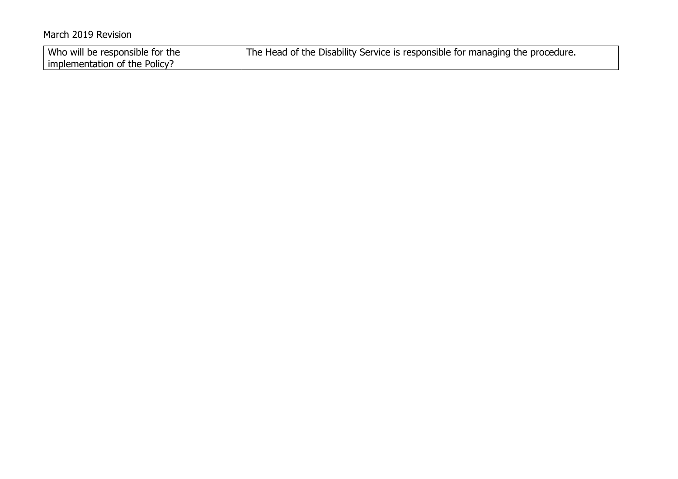| Who will be responsible for the | The Head of the Disability Service is responsible for managing the procedure. |
|---------------------------------|-------------------------------------------------------------------------------|
| implementation of the Policy?   |                                                                               |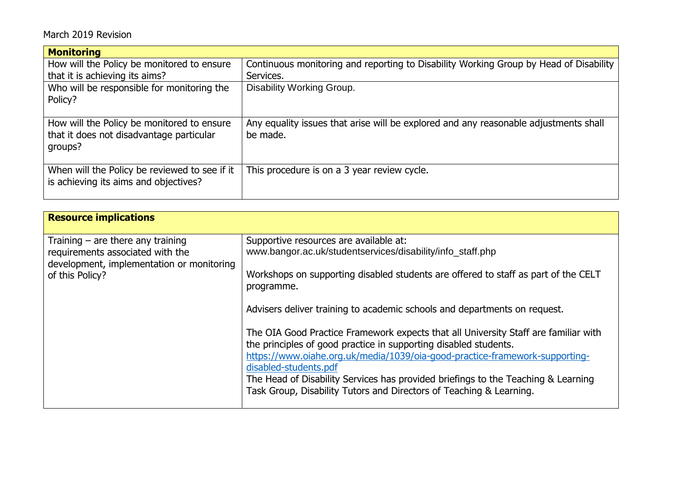| <b>Monitoring</b>                                                                                 |                                                                                                  |
|---------------------------------------------------------------------------------------------------|--------------------------------------------------------------------------------------------------|
| How will the Policy be monitored to ensure                                                        | Continuous monitoring and reporting to Disability Working Group by Head of Disability            |
| that it is achieving its aims?                                                                    | Services.                                                                                        |
| Who will be responsible for monitoring the<br>Policy?                                             | Disability Working Group.                                                                        |
| How will the Policy be monitored to ensure<br>that it does not disadvantage particular<br>groups? | Any equality issues that arise will be explored and any reasonable adjustments shall<br>be made. |
| When will the Policy be reviewed to see if it<br>is achieving its aims and objectives?            | This procedure is on a 3 year review cycle.                                                      |

| <b>Resource implications</b>                                                                                                            |                                                                                                                                                                                                                                                                                                                                                                                                                                                                                                                                                                                                                                                                                                                      |
|-----------------------------------------------------------------------------------------------------------------------------------------|----------------------------------------------------------------------------------------------------------------------------------------------------------------------------------------------------------------------------------------------------------------------------------------------------------------------------------------------------------------------------------------------------------------------------------------------------------------------------------------------------------------------------------------------------------------------------------------------------------------------------------------------------------------------------------------------------------------------|
| Training $-$ are there any training<br>requirements associated with the<br>development, implementation or monitoring<br>of this Policy? | Supportive resources are available at:<br>www.bangor.ac.uk/studentservices/disability/info staff.php<br>Workshops on supporting disabled students are offered to staff as part of the CELT<br>programme.<br>Advisers deliver training to academic schools and departments on request.<br>The OIA Good Practice Framework expects that all University Staff are familiar with<br>the principles of good practice in supporting disabled students.<br>https://www.oiahe.org.uk/media/1039/oia-good-practice-framework-supporting-<br>disabled-students.pdf<br>The Head of Disability Services has provided briefings to the Teaching & Learning<br>Task Group, Disability Tutors and Directors of Teaching & Learning. |